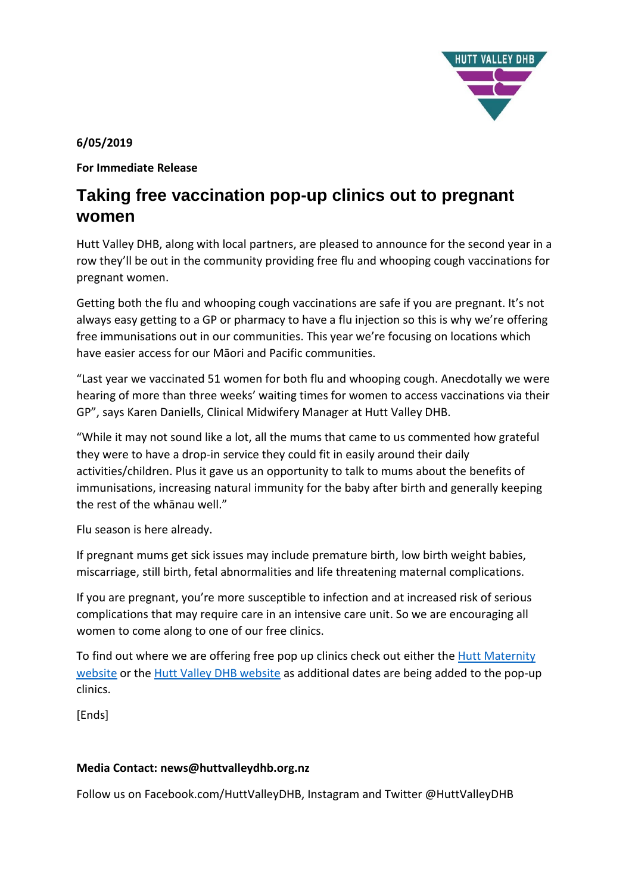

# **6/05/2019**

**For Immediate Release** 

# **Taking free vaccination pop-up clinics out to pregnant women**

Hutt Valley DHB, along with local partners, are pleased to announce for the second year in a row they'll be out in the community providing free flu and whooping cough vaccinations for pregnant women.

Getting both the flu and whooping cough vaccinations are safe if you are pregnant. It's not always easy getting to a GP or pharmacy to have a flu injection so this is why we're offering free immunisations out in our communities. This year we're focusing on locations which have easier access for our Māori and Pacific communities.

"Last year we vaccinated 51 women for both flu and whooping cough. Anecdotally we were hearing of more than three weeks' waiting times for women to access vaccinations via their GP", says Karen Daniells, Clinical Midwifery Manager at Hutt Valley DHB.

"While it may not sound like a lot, all the mums that came to us commented how grateful they were to have a drop-in service they could fit in easily around their daily activities/children. Plus it gave us an opportunity to talk to mums about the benefits of immunisations, increasing natural immunity for the baby after birth and generally keeping the rest of the whānau well."

Flu season is here already.

If pregnant mums get sick issues may include premature birth, low birth weight babies, miscarriage, still birth, fetal abnormalities and life threatening maternal complications.

If you are pregnant, you're more susceptible to infection and at increased risk of serious complications that may require care in an intensive care unit. So we are encouraging all women to come along to one of our free clinics.

To find out where we are offering free pop up clinics check out either the [Hutt Maternity](http://www.huttmaternity.org.nz/content/default.html)  [website](http://www.huttmaternity.org.nz/content/default.html) or the [Hutt Valley DHB website](http://www.huttvalleydhb.org.nz/) as additional dates are being added to the pop-up clinics.

**[Ends]** 

# **Media Contact: news@huttvalleydhb.org.nz**

Follow us on Facebook.com/HuttValleyDHB, Instagram and Twitter @HuttValleyDHB